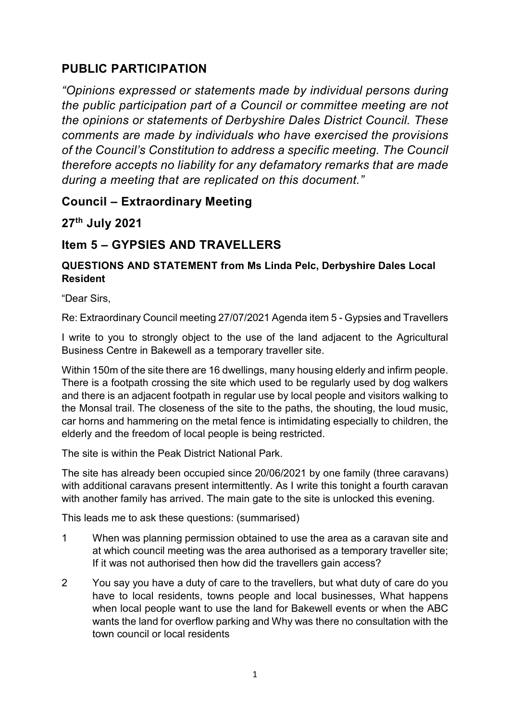# **PUBLIC PARTICIPATION**

*"Opinions expressed or statements made by individual persons during the public participation part of a Council or committee meeting are not the opinions or statements of Derbyshire Dales District Council. These comments are made by individuals who have exercised the provisions of the Council's Constitution to address a specific meeting. The Council therefore accepts no liability for any defamatory remarks that are made during a meeting that are replicated on this document."*

# **Council – Extraordinary Meeting**

**27th July 2021**

# **Item 5 – GYPSIES AND TRAVELLERS**

# **QUESTIONS AND STATEMENT from Ms Linda Pelc, Derbyshire Dales Local Resident**

"Dear Sirs,

Re: Extraordinary Council meeting 27/07/2021 Agenda item 5 - Gypsies and Travellers

I write to you to strongly object to the use of the land adjacent to the Agricultural Business Centre in Bakewell as a temporary traveller site.

Within 150m of the site there are 16 dwellings, many housing elderly and infirm people. There is a footpath crossing the site which used to be regularly used by dog walkers and there is an adjacent footpath in regular use by local people and visitors walking to the Monsal trail. The closeness of the site to the paths, the shouting, the loud music, car horns and hammering on the metal fence is intimidating especially to children, the elderly and the freedom of local people is being restricted.

The site is within the Peak District National Park.

The site has already been occupied since 20/06/2021 by one family (three caravans) with additional caravans present intermittently. As I write this tonight a fourth caravan with another family has arrived. The main gate to the site is unlocked this evening.

This leads me to ask these questions: (summarised)

- 1 When was planning permission obtained to use the area as a caravan site and at which council meeting was the area authorised as a temporary traveller site; If it was not authorised then how did the travellers gain access?
- 2 You say you have a duty of care to the travellers, but what duty of care do you have to local residents, towns people and local businesses, What happens when local people want to use the land for Bakewell events or when the ABC wants the land for overflow parking and Why was there no consultation with the town council or local residents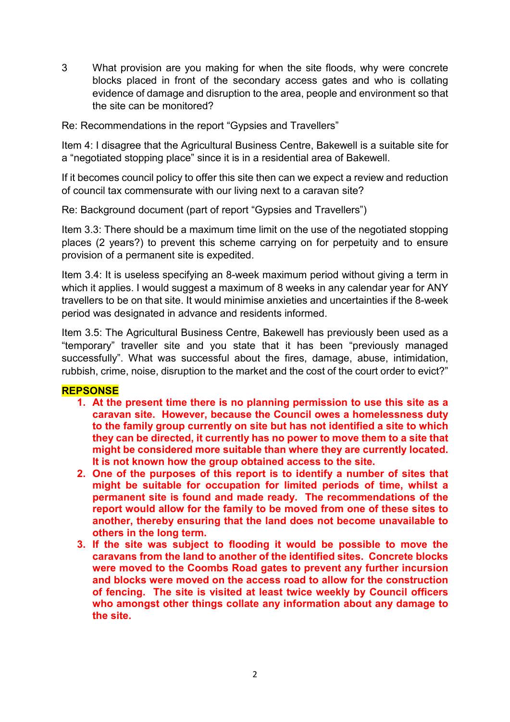3 What provision are you making for when the site floods, why were concrete blocks placed in front of the secondary access gates and who is collating evidence of damage and disruption to the area, people and environment so that the site can be monitored?

Re: Recommendations in the report "Gypsies and Travellers"

Item 4: I disagree that the Agricultural Business Centre, Bakewell is a suitable site for a "negotiated stopping place" since it is in a residential area of Bakewell.

If it becomes council policy to offer this site then can we expect a review and reduction of council tax commensurate with our living next to a caravan site?

Re: Background document (part of report "Gypsies and Travellers")

Item 3.3: There should be a maximum time limit on the use of the negotiated stopping places (2 years?) to prevent this scheme carrying on for perpetuity and to ensure provision of a permanent site is expedited.

Item 3.4: It is useless specifying an 8-week maximum period without giving a term in which it applies. I would suggest a maximum of 8 weeks in any calendar year for ANY travellers to be on that site. It would minimise anxieties and uncertainties if the 8-week period was designated in advance and residents informed.

Item 3.5: The Agricultural Business Centre, Bakewell has previously been used as a "temporary" traveller site and you state that it has been "previously managed successfully". What was successful about the fires, damage, abuse, intimidation, rubbish, crime, noise, disruption to the market and the cost of the court order to evict?"

### **REPSONSE**

- **1. At the present time there is no planning permission to use this site as a caravan site. However, because the Council owes a homelessness duty to the family group currently on site but has not identified a site to which they can be directed, it currently has no power to move them to a site that might be considered more suitable than where they are currently located. It is not known how the group obtained access to the site.**
- **2. One of the purposes of this report is to identify a number of sites that might be suitable for occupation for limited periods of time, whilst a permanent site is found and made ready. The recommendations of the report would allow for the family to be moved from one of these sites to another, thereby ensuring that the land does not become unavailable to others in the long term.**
- **3. If the site was subject to flooding it would be possible to move the caravans from the land to another of the identified sites. Concrete blocks were moved to the Coombs Road gates to prevent any further incursion and blocks were moved on the access road to allow for the construction of fencing. The site is visited at least twice weekly by Council officers who amongst other things collate any information about any damage to the site.**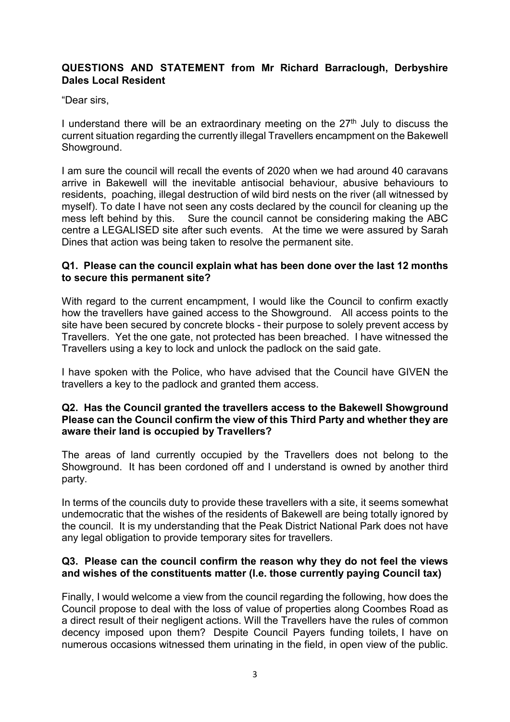### **QUESTIONS AND STATEMENT from Mr Richard Barraclough, Derbyshire Dales Local Resident**

"Dear sirs,

I understand there will be an extraordinary meeting on the  $27<sup>th</sup>$  July to discuss the current situation regarding the currently illegal Travellers encampment on the Bakewell Showground.

I am sure the council will recall the events of 2020 when we had around 40 caravans arrive in Bakewell will the inevitable antisocial behaviour, abusive behaviours to residents, poaching, illegal destruction of wild bird nests on the river (all witnessed by myself). To date I have not seen any costs declared by the council for cleaning up the mess left behind by this. Sure the council cannot be considering making the ABC centre a LEGALISED site after such events. At the time we were assured by Sarah Dines that action was being taken to resolve the permanent site.

#### **Q1. Please can the council explain what has been done over the last 12 months to secure this permanent site?**

With regard to the current encampment, I would like the Council to confirm exactly how the travellers have gained access to the Showground. All access points to the site have been secured by concrete blocks - their purpose to solely prevent access by Travellers. Yet the one gate, not protected has been breached. I have witnessed the Travellers using a key to lock and unlock the padlock on the said gate.

I have spoken with the Police, who have advised that the Council have GIVEN the travellers a key to the padlock and granted them access.

#### **Q2. Has the Council granted the travellers access to the Bakewell Showground Please can the Council confirm the view of this Third Party and whether they are aware their land is occupied by Travellers?**

The areas of land currently occupied by the Travellers does not belong to the Showground. It has been cordoned off and I understand is owned by another third party.

In terms of the councils duty to provide these travellers with a site, it seems somewhat undemocratic that the wishes of the residents of Bakewell are being totally ignored by the council. It is my understanding that the Peak District National Park does not have any legal obligation to provide temporary sites for travellers.

#### **Q3. Please can the council confirm the reason why they do not feel the views and wishes of the constituents matter (I.e. those currently paying Council tax)**

Finally, I would welcome a view from the council regarding the following, how does the Council propose to deal with the loss of value of properties along Coombes Road as a direct result of their negligent actions. Will the Travellers have the rules of common decency imposed upon them? Despite Council Payers funding toilets, I have on numerous occasions witnessed them urinating in the field, in open view of the public.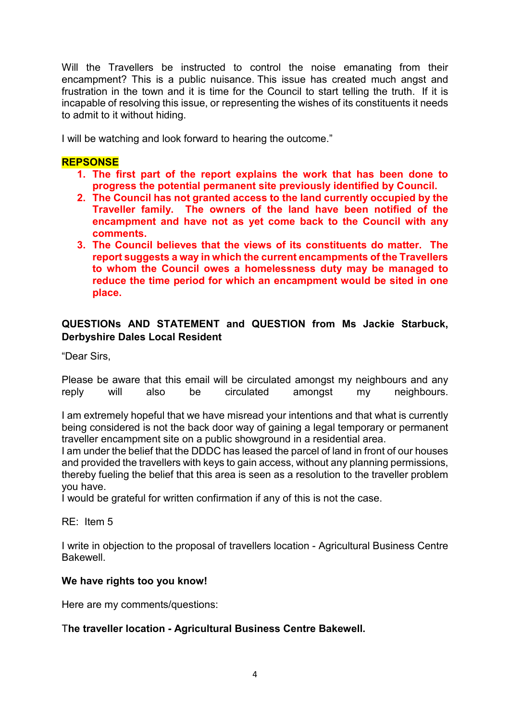Will the Travellers be instructed to control the noise emanating from their encampment? This is a public nuisance. This issue has created much angst and frustration in the town and it is time for the Council to start telling the truth. If it is incapable of resolving this issue, or representing the wishes of its constituents it needs to admit to it without hiding.

I will be watching and look forward to hearing the outcome."

### **REPSONSE**

- **1. The first part of the report explains the work that has been done to progress the potential permanent site previously identified by Council.**
- **2. The Council has not granted access to the land currently occupied by the Traveller family. The owners of the land have been notified of the encampment and have not as yet come back to the Council with any comments.**
- **3. The Council believes that the views of its constituents do matter. The report suggests a way in which the current encampments of the Travellers to whom the Council owes a homelessness duty may be managed to reduce the time period for which an encampment would be sited in one place.**

#### **QUESTIONs AND STATEMENT and QUESTION from Ms Jackie Starbuck, Derbyshire Dales Local Resident**

"Dear Sirs,

Please be aware that this email will be circulated amongst my neighbours and any reply will also be circulated amongst my neighbours.

I am extremely hopeful that we have misread your intentions and that what is currently being considered is not the back door way of gaining a legal temporary or permanent traveller encampment site on a public showground in a residential area.

I am under the belief that the DDDC has leased the parcel of land in front of our houses and provided the travellers with keys to gain access, without any planning permissions, thereby fueling the belief that this area is seen as a resolution to the traveller problem you have.

I would be grateful for written confirmation if any of this is not the case.

RE: Item 5

I write in objection to the proposal of travellers location - Agricultural Business Centre Bakewell.

#### **We have rights too you know!**

Here are my comments/questions:

#### T**he traveller location - Agricultural Business Centre Bakewell.**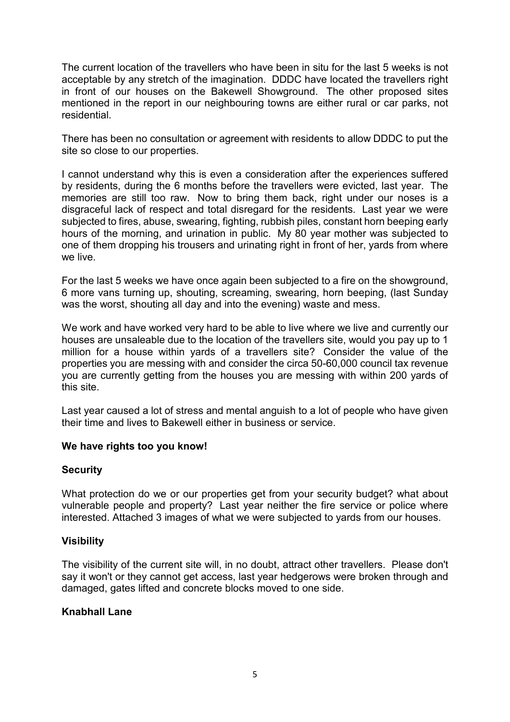The current location of the travellers who have been in situ for the last 5 weeks is not acceptable by any stretch of the imagination. DDDC have located the travellers right in front of our houses on the Bakewell Showground. The other proposed sites mentioned in the report in our neighbouring towns are either rural or car parks, not residential.

There has been no consultation or agreement with residents to allow DDDC to put the site so close to our properties.

I cannot understand why this is even a consideration after the experiences suffered by residents, during the 6 months before the travellers were evicted, last year. The memories are still too raw. Now to bring them back, right under our noses is a disgraceful lack of respect and total disregard for the residents. Last year we were subjected to fires, abuse, swearing, fighting, rubbish piles, constant horn beeping early hours of the morning, and urination in public. My 80 year mother was subjected to one of them dropping his trousers and urinating right in front of her, yards from where we live.

For the last 5 weeks we have once again been subjected to a fire on the showground, 6 more vans turning up, shouting, screaming, swearing, horn beeping, (last Sunday was the worst, shouting all day and into the evening) waste and mess.

We work and have worked very hard to be able to live where we live and currently our houses are unsaleable due to the location of the travellers site, would you pay up to 1 million for a house within yards of a travellers site? Consider the value of the properties you are messing with and consider the circa 50-60,000 council tax revenue you are currently getting from the houses you are messing with within 200 yards of this site.

Last year caused a lot of stress and mental anguish to a lot of people who have given their time and lives to Bakewell either in business or service.

#### **We have rights too you know!**

#### **Security**

What protection do we or our properties get from your security budget? what about vulnerable people and property? Last year neither the fire service or police where interested. Attached 3 images of what we were subjected to yards from our houses.

#### **Visibility**

The visibility of the current site will, in no doubt, attract other travellers. Please don't say it won't or they cannot get access, last year hedgerows were broken through and damaged, gates lifted and concrete blocks moved to one side.

#### **Knabhall Lane**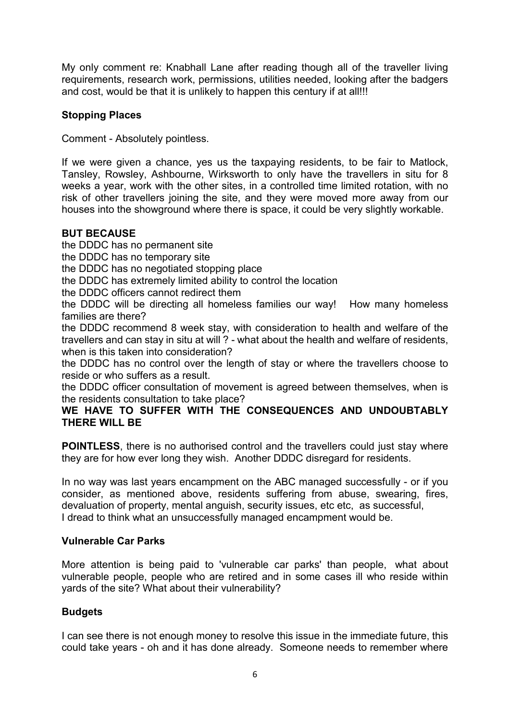My only comment re: Knabhall Lane after reading though all of the traveller living requirements, research work, permissions, utilities needed, looking after the badgers and cost, would be that it is unlikely to happen this century if at all!!!

### **Stopping Places**

Comment - Absolutely pointless.

If we were given a chance, yes us the taxpaying residents, to be fair to Matlock, Tansley, Rowsley, Ashbourne, Wirksworth to only have the travellers in situ for 8 weeks a year, work with the other sites, in a controlled time limited rotation, with no risk of other travellers joining the site, and they were moved more away from our houses into the showground where there is space, it could be very slightly workable.

#### **BUT BECAUSE**

the DDDC has no permanent site

the DDDC has no temporary site

the DDDC has no negotiated stopping place

the DDDC has extremely limited ability to control the location

the DDDC officers cannot redirect them

the DDDC will be directing all homeless families our way! How many homeless families are there?

the DDDC recommend 8 week stay, with consideration to health and welfare of the travellers and can stay in situ at will ? - what about the health and welfare of residents, when is this taken into consideration?

the DDDC has no control over the length of stay or where the travellers choose to reside or who suffers as a result.

the DDDC officer consultation of movement is agreed between themselves, when is the residents consultation to take place?

#### **WE HAVE TO SUFFER WITH THE CONSEQUENCES AND UNDOUBTABLY THERE WILL BE**

**POINTLESS**, there is no authorised control and the travellers could just stay where they are for how ever long they wish. Another DDDC disregard for residents.

In no way was last years encampment on the ABC managed successfully - or if you consider, as mentioned above, residents suffering from abuse, swearing, fires, devaluation of property, mental anguish, security issues, etc etc, as successful, I dread to think what an unsuccessfully managed encampment would be.

#### **Vulnerable Car Parks**

More attention is being paid to 'vulnerable car parks' than people, what about vulnerable people, people who are retired and in some cases ill who reside within yards of the site? What about their vulnerability?

### **Budgets**

I can see there is not enough money to resolve this issue in the immediate future, this could take years - oh and it has done already. Someone needs to remember where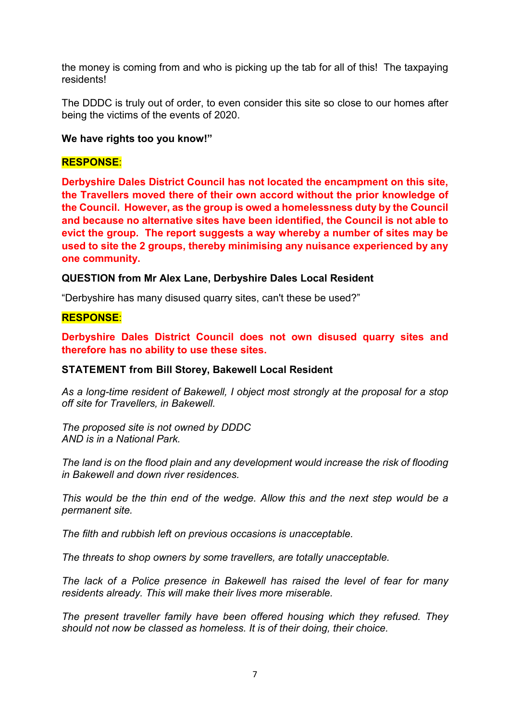the money is coming from and who is picking up the tab for all of this! The taxpaying residents!

The DDDC is truly out of order, to even consider this site so close to our homes after being the victims of the events of 2020.

#### **We have rights too you know!"**

#### **RESPONSE**:

**Derbyshire Dales District Council has not located the encampment on this site, the Travellers moved there of their own accord without the prior knowledge of the Council. However, as the group is owed a homelessness duty by the Council and because no alternative sites have been identified, the Council is not able to evict the group. The report suggests a way whereby a number of sites may be used to site the 2 groups, thereby minimising any nuisance experienced by any one community.**

#### **QUESTION from Mr Alex Lane, Derbyshire Dales Local Resident**

"Derbyshire has many disused quarry sites, can't these be used?"

#### **RESPONSE**:

**Derbyshire Dales District Council does not own disused quarry sites and therefore has no ability to use these sites.**

#### **STATEMENT from Bill Storey, Bakewell Local Resident**

*As a long-time resident of Bakewell, I object most strongly at the proposal for a stop off site for Travellers, in Bakewell.*

*The proposed site is not owned by DDDC AND is in a National Park.*

*The land is on the flood plain and any development would increase the risk of flooding in Bakewell and down river residences.*

*This would be the thin end of the wedge. Allow this and the next step would be a permanent site.*

*The filth and rubbish left on previous occasions is unacceptable.*

*The threats to shop owners by some travellers, are totally unacceptable.*

*The lack of a Police presence in Bakewell has raised the level of fear for many residents already. This will make their lives more miserable.*

*The present traveller family have been offered housing which they refused. They should not now be classed as homeless. It is of their doing, their choice.*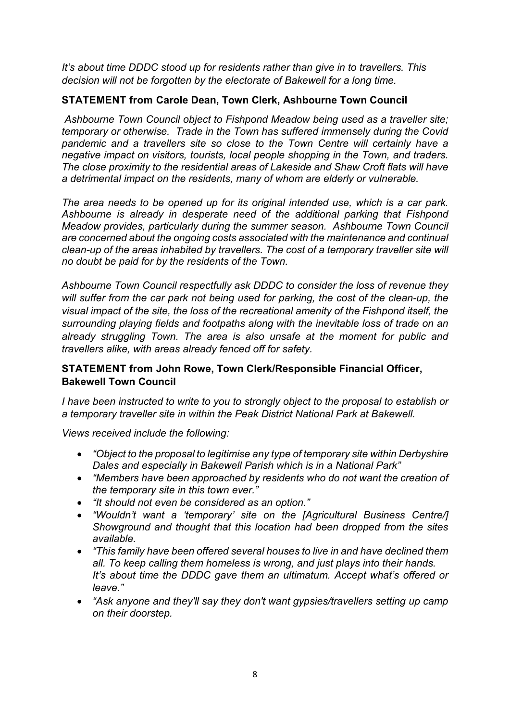*It's about time DDDC stood up for residents rather than give in to travellers. This decision will not be forgotten by the electorate of Bakewell for a long time.*

### **STATEMENT from Carole Dean, Town Clerk, Ashbourne Town Council**

*Ashbourne Town Council object to Fishpond Meadow being used as a traveller site; temporary or otherwise. Trade in the Town has suffered immensely during the Covid*  pandemic and a travellers site so close to the Town Centre will certainly have a *negative impact on visitors, tourists, local people shopping in the Town, and traders. The close proximity to the residential areas of Lakeside and Shaw Croft flats will have a detrimental impact on the residents, many of whom are elderly or vulnerable.* 

*The area needs to be opened up for its original intended use, which is a car park. Ashbourne is already in desperate need of the additional parking that Fishpond Meadow provides, particularly during the summer season. Ashbourne Town Council are concerned about the ongoing costs associated with the maintenance and continual clean-up of the areas inhabited by travellers. The cost of a temporary traveller site will no doubt be paid for by the residents of the Town.* 

*Ashbourne Town Council respectfully ask DDDC to consider the loss of revenue they will suffer from the car park not being used for parking, the cost of the clean-up, the visual impact of the site, the loss of the recreational amenity of the Fishpond itself, the surrounding playing fields and footpaths along with the inevitable loss of trade on an already struggling Town. The area is also unsafe at the moment for public and travellers alike, with areas already fenced off for safety.*

### **STATEMENT from John Rowe, Town Clerk/Responsible Financial Officer, Bakewell Town Council**

*I have been instructed to write to you to strongly object to the proposal to establish or a temporary traveller site in within the Peak District National Park at Bakewell.*

*Views received include the following:*

- *"Object to the proposal to legitimise any type of temporary site within Derbyshire Dales and especially in Bakewell Parish which is in a National Park"*
- *"Members have been approached by residents who do not want the creation of the temporary site in this town ever."*
- *"It should not even be considered as an option."*
- *"Wouldn't want a 'temporary' site on the [Agricultural Business Centre/] Showground and thought that this location had been dropped from the sites available.*
- *"This family have been offered several houses to live in and have declined them all. To keep calling them homeless is wrong, and just plays into their hands. It's about time the DDDC gave them an ultimatum. Accept what's offered or leave."*
- *"Ask anyone and they'll say they don't want gypsies/travellers setting up camp on their doorstep.*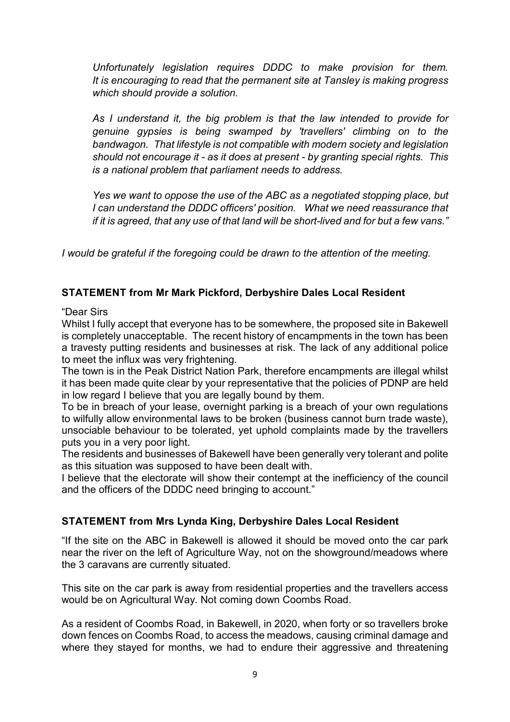*Unfortunately legislation requires DDDC to make provision for them. It is encouraging to read that the permanent site at Tansley is making progress which should provide a solution.*

*As I understand it, the big problem is that the law intended to provide for genuine gypsies is being swamped by 'travellers' climbing on to the bandwagon. That lifestyle is not compatible with modern society and legislation should not encourage it - as it does at present - by granting special rights. This is a national problem that parliament needs to address.*

*Yes we want to oppose the use of the ABC as a negotiated stopping place, but I can understand the DDDC officers' position. What we need reassurance that if it is agreed, that any use of that land will be short-lived and for but a few vans."*

*I would be grateful if the foregoing could be drawn to the attention of the meeting.*

#### **STATEMENT from Mr Mark Pickford, Derbyshire Dales Local Resident**

"Dear Sirs

Whilst I fully accept that everyone has to be somewhere, the proposed site in Bakewell is completely unacceptable. The recent history of encampments in the town has been a travesty putting residents and businesses at risk. The lack of any additional police to meet the influx was very frightening.

The town is in the Peak District Nation Park, therefore encampments are illegal whilst it has been made quite clear by your representative that the policies of PDNP are held in low regard I believe that you are legally bound by them.

To be in breach of your lease, overnight parking is a breach of your own regulations to wilfully allow environmental laws to be broken (business cannot burn trade waste), unsociable behaviour to be tolerated, yet uphold complaints made by the travellers puts you in a very poor light.

The residents and businesses of Bakewell have been generally very tolerant and polite as this situation was supposed to have been dealt with.

I believe that the electorate will show their contempt at the inefficiency of the council and the officers of the DDDC need bringing to account."

### **STATEMENT from Mrs Lynda King, Derbyshire Dales Local Resident**

"If the site on the ABC in Bakewell is allowed it should be moved onto the car park near the river on the left of Agriculture Way, not on the showground/meadows where the 3 caravans are currently situated.

This site on the car park is away from residential properties and the travellers access would be on Agricultural Way. Not coming down Coombs Road.

As a resident of Coombs Road, in Bakewell, in 2020, when forty or so travellers broke down fences on Coombs Road, to access the meadows, causing criminal damage and where they stayed for months, we had to endure their aggressive and threatening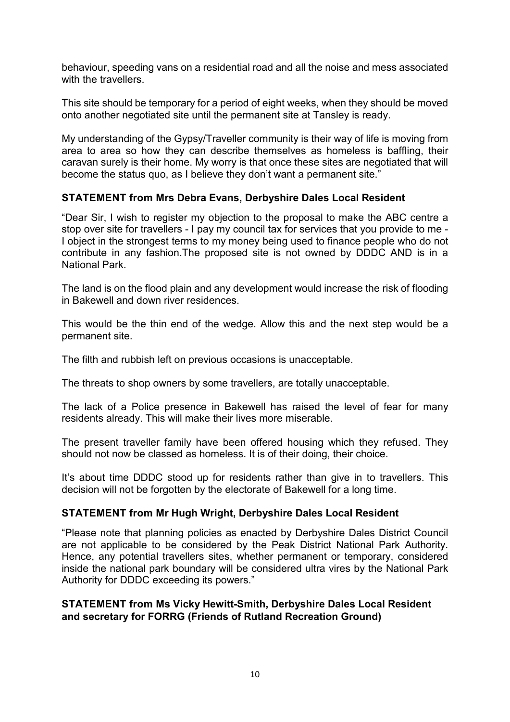behaviour, speeding vans on a residential road and all the noise and mess associated with the travellers.

This site should be temporary for a period of eight weeks, when they should be moved onto another negotiated site until the permanent site at Tansley is ready.

My understanding of the Gypsy/Traveller community is their way of life is moving from area to area so how they can describe themselves as homeless is baffling, their caravan surely is their home. My worry is that once these sites are negotiated that will become the status quo, as I believe they don't want a permanent site."

#### **STATEMENT from Mrs Debra Evans, Derbyshire Dales Local Resident**

"Dear Sir, I wish to register my objection to the proposal to make the ABC centre a stop over site for travellers - I pay my council tax for services that you provide to me - I object in the strongest terms to my money being used to finance people who do not contribute in any fashion.The proposed site is not owned by DDDC AND is in a National Park.

The land is on the flood plain and any development would increase the risk of flooding in Bakewell and down river residences.

This would be the thin end of the wedge. Allow this and the next step would be a permanent site.

The filth and rubbish left on previous occasions is unacceptable.

The threats to shop owners by some travellers, are totally unacceptable.

The lack of a Police presence in Bakewell has raised the level of fear for many residents already. This will make their lives more miserable.

The present traveller family have been offered housing which they refused. They should not now be classed as homeless. It is of their doing, their choice.

It's about time DDDC stood up for residents rather than give in to travellers. This decision will not be forgotten by the electorate of Bakewell for a long time.

#### **STATEMENT from Mr Hugh Wright, Derbyshire Dales Local Resident**

"Please note that planning policies as enacted by Derbyshire Dales District Council are not applicable to be considered by the Peak District National Park Authority. Hence, any potential travellers sites, whether permanent or temporary, considered inside the national park boundary will be considered ultra vires by the National Park Authority for DDDC exceeding its powers."

#### **STATEMENT from Ms Vicky Hewitt-Smith, Derbyshire Dales Local Resident and secretary for FORRG (Friends of Rutland Recreation Ground)**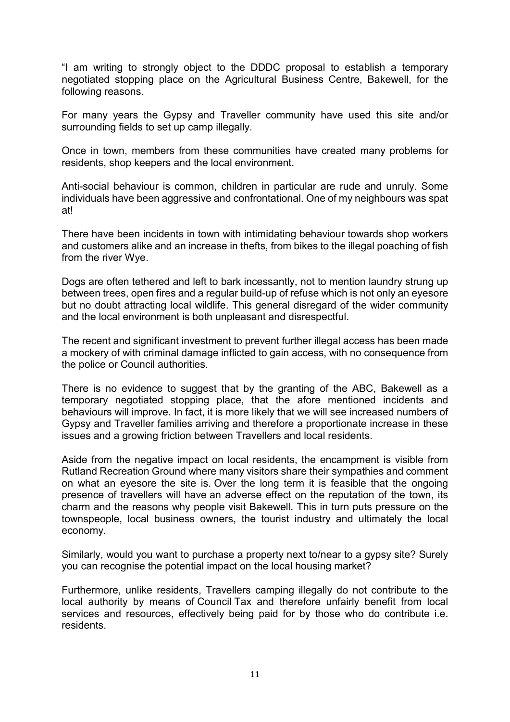"I am writing to strongly object to the DDDC proposal to establish a temporary negotiated stopping place on the Agricultural Business Centre, Bakewell, for the following reasons.

For many years the Gypsy and Traveller community have used this site and/or surrounding fields to set up camp illegally.

Once in town, members from these communities have created many problems for residents, shop keepers and the local environment.

Anti-social behaviour is common, children in particular are rude and unruly. Some individuals have been aggressive and confrontational. One of my neighbours was spat at!

There have been incidents in town with intimidating behaviour towards shop workers and customers alike and an increase in thefts, from bikes to the illegal poaching of fish from the river Wye.

Dogs are often tethered and left to bark incessantly, not to mention laundry strung up between trees, open fires and a regular build-up of refuse which is not only an eyesore but no doubt attracting local wildlife. This general disregard of the wider community and the local environment is both unpleasant and disrespectful.

The recent and significant investment to prevent further illegal access has been made a mockery of with criminal damage inflicted to gain access, with no consequence from the police or Council authorities.

There is no evidence to suggest that by the granting of the ABC, Bakewell as a temporary negotiated stopping place, that the afore mentioned incidents and behaviours will improve. In fact, it is more likely that we will see increased numbers of Gypsy and Traveller families arriving and therefore a proportionate increase in these issues and a growing friction between Travellers and local residents.

Aside from the negative impact on local residents, the encampment is visible from Rutland Recreation Ground where many visitors share their sympathies and comment on what an eyesore the site is. Over the long term it is feasible that the ongoing presence of travellers will have an adverse effect on the reputation of the town, its charm and the reasons why people visit Bakewell. This in turn puts pressure on the townspeople, local business owners, the tourist industry and ultimately the local economy.

Similarly, would you want to purchase a property next to/near to a gypsy site? Surely you can recognise the potential impact on the local housing market?

Furthermore, unlike residents, Travellers camping illegally do not contribute to the local authority by means of Council Tax and therefore unfairly benefit from local services and resources, effectively being paid for by those who do contribute i.e. residents.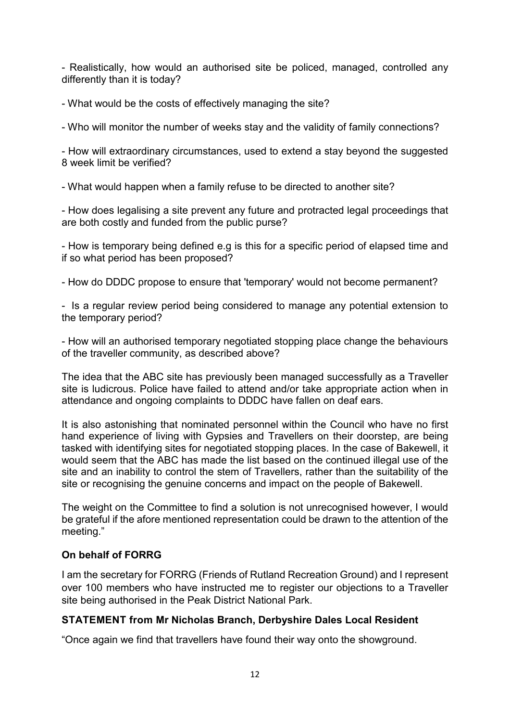- Realistically, how would an authorised site be policed, managed, controlled any differently than it is today?

- What would be the costs of effectively managing the site?

- Who will monitor the number of weeks stay and the validity of family connections?

- How will extraordinary circumstances, used to extend a stay beyond the suggested 8 week limit be verified?

- What would happen when a family refuse to be directed to another site?

- How does legalising a site prevent any future and protracted legal proceedings that are both costly and funded from the public purse?

- How is temporary being defined e.g is this for a specific period of elapsed time and if so what period has been proposed?

- How do DDDC propose to ensure that 'temporary' would not become permanent?

- Is a regular review period being considered to manage any potential extension to the temporary period?

- How will an authorised temporary negotiated stopping place change the behaviours of the traveller community, as described above?

The idea that the ABC site has previously been managed successfully as a Traveller site is ludicrous. Police have failed to attend and/or take appropriate action when in attendance and ongoing complaints to DDDC have fallen on deaf ears.

It is also astonishing that nominated personnel within the Council who have no first hand experience of living with Gypsies and Travellers on their doorstep, are being tasked with identifying sites for negotiated stopping places. In the case of Bakewell, it would seem that the ABC has made the list based on the continued illegal use of the site and an inability to control the stem of Travellers, rather than the suitability of the site or recognising the genuine concerns and impact on the people of Bakewell.

The weight on the Committee to find a solution is not unrecognised however, I would be grateful if the afore mentioned representation could be drawn to the attention of the meeting."

### **On behalf of FORRG**

I am the secretary for FORRG (Friends of Rutland Recreation Ground) and I represent over 100 members who have instructed me to register our objections to a Traveller site being authorised in the Peak District National Park.

### **STATEMENT from Mr Nicholas Branch, Derbyshire Dales Local Resident**

"Once again we find that travellers have found their way onto the showground.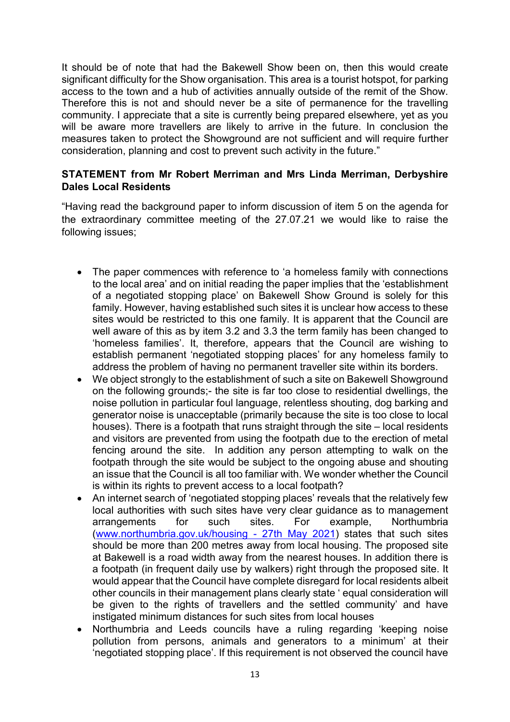It should be of note that had the Bakewell Show been on, then this would create significant difficulty for the Show organisation. This area is a tourist hotspot, for parking access to the town and a hub of activities annually outside of the remit of the Show. Therefore this is not and should never be a site of permanence for the travelling community. I appreciate that a site is currently being prepared elsewhere, yet as you will be aware more travellers are likely to arrive in the future. In conclusion the measures taken to protect the Showground are not sufficient and will require further consideration, planning and cost to prevent such activity in the future."

#### **STATEMENT from Mr Robert Merriman and Mrs Linda Merriman, Derbyshire Dales Local Residents**

"Having read the background paper to inform discussion of item 5 on the agenda for the extraordinary committee meeting of the 27.07.21 we would like to raise the following issues;

- The paper commences with reference to 'a homeless family with connections to the local area' and on initial reading the paper implies that the 'establishment of a negotiated stopping place' on Bakewell Show Ground is solely for this family. However, having established such sites it is unclear how access to these sites would be restricted to this one family. It is apparent that the Council are well aware of this as by item 3.2 and 3.3 the term family has been changed to 'homeless families'. It, therefore, appears that the Council are wishing to establish permanent 'negotiated stopping places' for any homeless family to address the problem of having no permanent traveller site within its borders.
- We object strongly to the establishment of such a site on Bakewell Showground on the following grounds;- the site is far too close to residential dwellings, the noise pollution in particular foul language, relentless shouting, dog barking and generator noise is unacceptable (primarily because the site is too close to local houses). There is a footpath that runs straight through the site – local residents and visitors are prevented from using the footpath due to the erection of metal fencing around the site. In addition any person attempting to walk on the footpath through the site would be subject to the ongoing abuse and shouting an issue that the Council is all too familiar with. We wonder whether the Council is within its rights to prevent access to a local footpath?
- An internet search of 'negotiated stopping places' reveals that the relatively few local authorities with such sites have very clear guidance as to management arrangements for such sites. For example, Northumbria [\(www.northumbria.gov.uk/housing -](http://www.northumbria.gov.uk/housing%20-%2027th%20May%202021) 27th May 2021) states that such sites should be more than 200 metres away from local housing. The proposed site at Bakewell is a road width away from the nearest houses. In addition there is a footpath (in frequent daily use by walkers) right through the proposed site. It would appear that the Council have complete disregard for local residents albeit other councils in their management plans clearly state ' equal consideration will be given to the rights of travellers and the settled community' and have instigated minimum distances for such sites from local houses
- Northumbria and Leeds councils have a ruling regarding 'keeping noise pollution from persons, animals and generators to a minimum' at their 'negotiated stopping place'. If this requirement is not observed the council have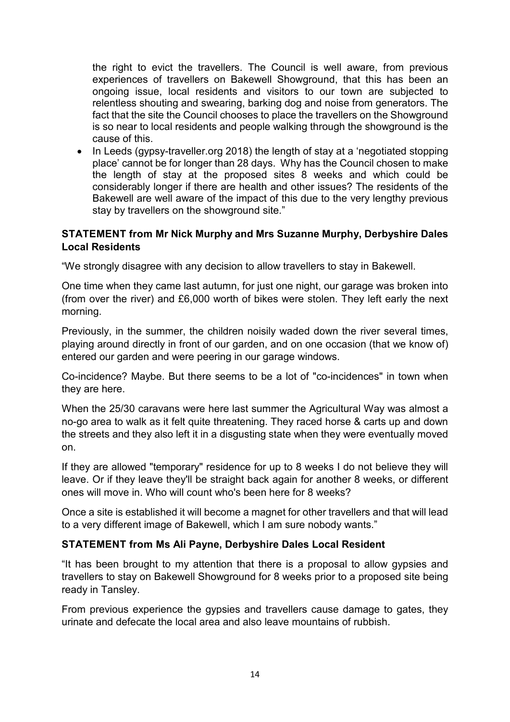the right to evict the travellers. The Council is well aware, from previous experiences of travellers on Bakewell Showground, that this has been an ongoing issue, local residents and visitors to our town are subjected to relentless shouting and swearing, barking dog and noise from generators. The fact that the site the Council chooses to place the travellers on the Showground is so near to local residents and people walking through the showground is the cause of this.

• In Leeds (gypsy-traveller.org 2018) the length of stay at a 'negotiated stopping place' cannot be for longer than 28 days. Why has the Council chosen to make the length of stay at the proposed sites 8 weeks and which could be considerably longer if there are health and other issues? The residents of the Bakewell are well aware of the impact of this due to the very lengthy previous stay by travellers on the showground site."

#### **STATEMENT from Mr Nick Murphy and Mrs Suzanne Murphy, Derbyshire Dales Local Residents**

"We strongly disagree with any decision to allow travellers to stay in Bakewell.

One time when they came last autumn, for just one night, our garage was broken into (from over the river) and £6,000 worth of bikes were stolen. They left early the next morning.

Previously, in the summer, the children noisily waded down the river several times, playing around directly in front of our garden, and on one occasion (that we know of) entered our garden and were peering in our garage windows.

Co-incidence? Maybe. But there seems to be a lot of "co-incidences" in town when they are here.

When the 25/30 caravans were here last summer the Agricultural Way was almost a no-go area to walk as it felt quite threatening. They raced horse & carts up and down the streets and they also left it in a disgusting state when they were eventually moved on.

If they are allowed "temporary" residence for up to 8 weeks I do not believe they will leave. Or if they leave they'll be straight back again for another 8 weeks, or different ones will move in. Who will count who's been here for 8 weeks?

Once a site is established it will become a magnet for other travellers and that will lead to a very different image of Bakewell, which I am sure nobody wants."

### **STATEMENT from Ms Ali Payne, Derbyshire Dales Local Resident**

"It has been brought to my attention that there is a proposal to allow gypsies and travellers to stay on Bakewell Showground for 8 weeks prior to a proposed site being ready in Tansley.

From previous experience the gypsies and travellers cause damage to gates, they urinate and defecate the local area and also leave mountains of rubbish.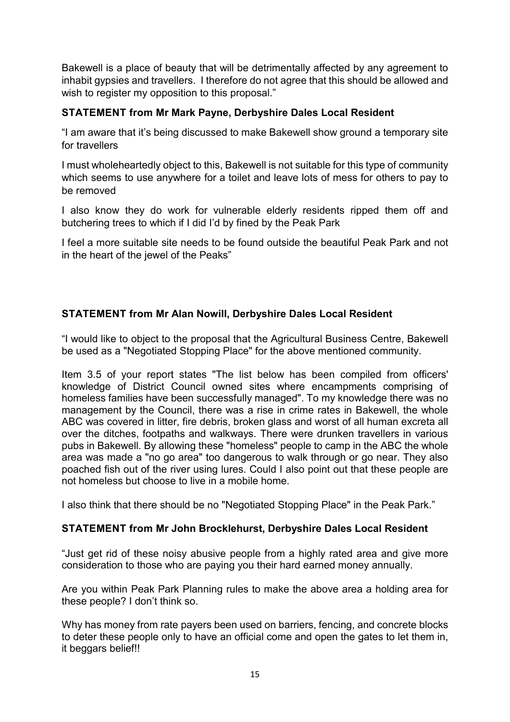Bakewell is a place of beauty that will be detrimentally affected by any agreement to inhabit gypsies and travellers. I therefore do not agree that this should be allowed and wish to register my opposition to this proposal."

## **STATEMENT from Mr Mark Payne, Derbyshire Dales Local Resident**

"I am aware that it's being discussed to make Bakewell show ground a temporary site for travellers

I must wholeheartedly object to this, Bakewell is not suitable for this type of community which seems to use anywhere for a toilet and leave lots of mess for others to pay to be removed

I also know they do work for vulnerable elderly residents ripped them off and butchering trees to which if I did I'd by fined by the Peak Park

I feel a more suitable site needs to be found outside the beautiful Peak Park and not in the heart of the jewel of the Peaks"

# **STATEMENT from Mr Alan Nowill, Derbyshire Dales Local Resident**

"I would like to object to the proposal that the Agricultural Business Centre, Bakewell be used as a "Negotiated Stopping Place" for the above mentioned community.

Item 3.5 of your report states "The list below has been compiled from officers' knowledge of District Council owned sites where encampments comprising of homeless families have been successfully managed". To my knowledge there was no management by the Council, there was a rise in crime rates in Bakewell, the whole ABC was covered in litter, fire debris, broken glass and worst of all human excreta all over the ditches, footpaths and walkways. There were drunken travellers in various pubs in Bakewell. By allowing these "homeless" people to camp in the ABC the whole area was made a "no go area" too dangerous to walk through or go near. They also poached fish out of the river using lures. Could I also point out that these people are not homeless but choose to live in a mobile home.

I also think that there should be no "Negotiated Stopping Place" in the Peak Park."

### **STATEMENT from Mr John Brocklehurst, Derbyshire Dales Local Resident**

"Just get rid of these noisy abusive people from a highly rated area and give more consideration to those who are paying you their hard earned money annually.

Are you within Peak Park Planning rules to make the above area a holding area for these people? I don't think so.

Why has money from rate payers been used on barriers, fencing, and concrete blocks to deter these people only to have an official come and open the gates to let them in, it beggars belief!!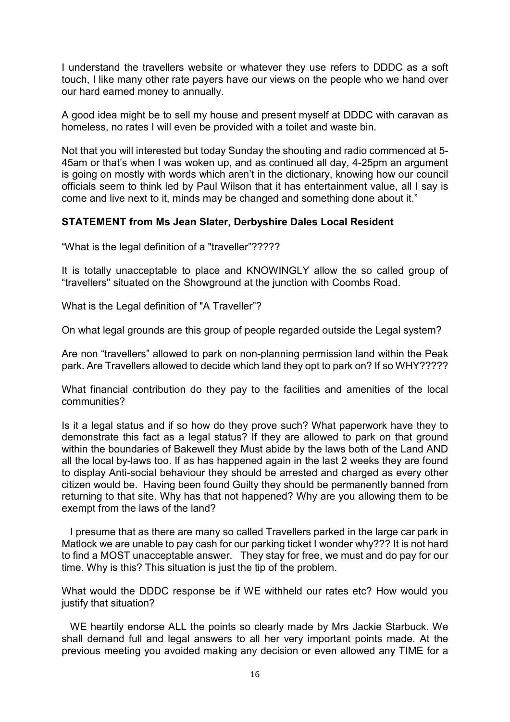I understand the travellers website or whatever they use refers to DDDC as a soft touch, I like many other rate payers have our views on the people who we hand over our hard earned money to annually.

A good idea might be to sell my house and present myself at DDDC with caravan as homeless, no rates I will even be provided with a toilet and waste bin.

Not that you will interested but today Sunday the shouting and radio commenced at 5- 45am or that's when I was woken up, and as continued all day, 4-25pm an argument is going on mostly with words which aren't in the dictionary, knowing how our council officials seem to think led by Paul Wilson that it has entertainment value, all I say is come and live next to it, minds may be changed and something done about it."

#### **STATEMENT from Ms Jean Slater, Derbyshire Dales Local Resident**

"What is the legal definition of a "traveller"?????

It is totally unacceptable to place and KNOWINGLY allow the so called group of "travellers" situated on the Showground at the junction with Coombs Road.

What is the Legal definition of "A Traveller"?

On what legal grounds are this group of people regarded outside the Legal system?

Are non "travellers" allowed to park on non-planning permission land within the Peak park. Are Travellers allowed to decide which land they opt to park on? If so WHY?????

What financial contribution do they pay to the facilities and amenities of the local communities?

Is it a legal status and if so how do they prove such? What paperwork have they to demonstrate this fact as a legal status? If they are allowed to park on that ground within the boundaries of Bakewell they Must abide by the laws both of the Land AND all the local by-laws too. If as has happened again in the last 2 weeks they are found to display Anti-social behaviour they should be arrested and charged as every other citizen would be. Having been found Guilty they should be permanently banned from returning to that site. Why has that not happened? Why are you allowing them to be exempt from the laws of the land?

 I presume that as there are many so called Travellers parked in the large car park in Matlock we are unable to pay cash for our parking ticket I wonder why??? It is not hard to find a MOST unacceptable answer. They stay for free, we must and do pay for our time. Why is this? This situation is just the tip of the problem.

What would the DDDC response be if WE withheld our rates etc? How would you justify that situation?

 WE heartily endorse ALL the points so clearly made by Mrs Jackie Starbuck. We shall demand full and legal answers to all her very important points made. At the previous meeting you avoided making any decision or even allowed any TIME for a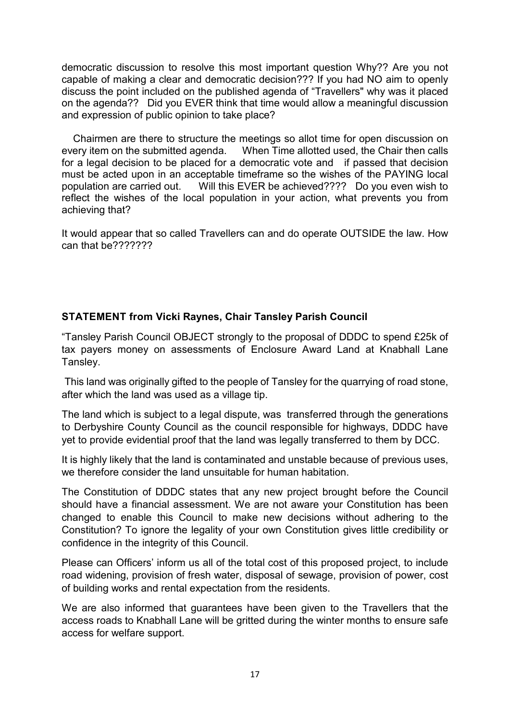democratic discussion to resolve this most important question Why?? Are you not capable of making a clear and democratic decision??? If you had NO aim to openly discuss the point included on the published agenda of "Travellers" why was it placed on the agenda?? Did you EVER think that time would allow a meaningful discussion and expression of public opinion to take place?

 Chairmen are there to structure the meetings so allot time for open discussion on every item on the submitted agenda. When Time allotted used, the Chair then calls for a legal decision to be placed for a democratic vote and if passed that decision must be acted upon in an acceptable timeframe so the wishes of the PAYING local population are carried out. Will this EVER be achieved???? Do you even wish to reflect the wishes of the local population in your action, what prevents you from achieving that?

It would appear that so called Travellers can and do operate OUTSIDE the law. How can that be???????

### **STATEMENT from Vicki Raynes, Chair Tansley Parish Council**

"Tansley Parish Council OBJECT strongly to the proposal of DDDC to spend £25k of tax payers money on assessments of Enclosure Award Land at Knabhall Lane Tansley.

This land was originally gifted to the people of Tansley for the quarrying of road stone, after which the land was used as a village tip.

The land which is subject to a legal dispute, was transferred through the generations to Derbyshire County Council as the council responsible for highways, DDDC have yet to provide evidential proof that the land was legally transferred to them by DCC.

It is highly likely that the land is contaminated and unstable because of previous uses, we therefore consider the land unsuitable for human habitation.

The Constitution of DDDC states that any new project brought before the Council should have a financial assessment. We are not aware your Constitution has been changed to enable this Council to make new decisions without adhering to the Constitution? To ignore the legality of your own Constitution gives little credibility or confidence in the integrity of this Council.

Please can Officers' inform us all of the total cost of this proposed project, to include road widening, provision of fresh water, disposal of sewage, provision of power, cost of building works and rental expectation from the residents.

We are also informed that guarantees have been given to the Travellers that the access roads to Knabhall Lane will be gritted during the winter months to ensure safe access for welfare support.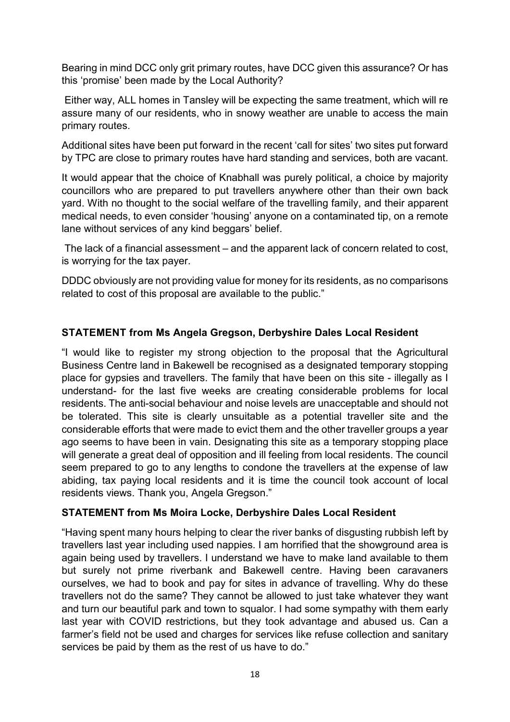Bearing in mind DCC only grit primary routes, have DCC given this assurance? Or has this 'promise' been made by the Local Authority?

Either way, ALL homes in Tansley will be expecting the same treatment, which will re assure many of our residents, who in snowy weather are unable to access the main primary routes.

Additional sites have been put forward in the recent 'call for sites' two sites put forward by TPC are close to primary routes have hard standing and services, both are vacant.

It would appear that the choice of Knabhall was purely political, a choice by majority councillors who are prepared to put travellers anywhere other than their own back yard. With no thought to the social welfare of the travelling family, and their apparent medical needs, to even consider 'housing' anyone on a contaminated tip, on a remote lane without services of any kind beggars' belief.

The lack of a financial assessment – and the apparent lack of concern related to cost, is worrying for the tax payer.

DDDC obviously are not providing value for money for its residents, as no comparisons related to cost of this proposal are available to the public."

## **STATEMENT from Ms Angela Gregson, Derbyshire Dales Local Resident**

"I would like to register my strong objection to the proposal that the Agricultural Business Centre land in Bakewell be recognised as a designated temporary stopping place for gypsies and travellers. The family that have been on this site - illegally as I understand- for the last five weeks are creating considerable problems for local residents. The anti-social behaviour and noise levels are unacceptable and should not be tolerated. This site is clearly unsuitable as a potential traveller site and the considerable efforts that were made to evict them and the other traveller groups a year ago seems to have been in vain. Designating this site as a temporary stopping place will generate a great deal of opposition and ill feeling from local residents. The council seem prepared to go to any lengths to condone the travellers at the expense of law abiding, tax paying local residents and it is time the council took account of local residents views. Thank you, Angela Gregson."

### **STATEMENT from Ms Moira Locke, Derbyshire Dales Local Resident**

"Having spent many hours helping to clear the river banks of disgusting rubbish left by travellers last year including used nappies. I am horrified that the showground area is again being used by travellers. I understand we have to make land available to them but surely not prime riverbank and Bakewell centre. Having been caravaners ourselves, we had to book and pay for sites in advance of travelling. Why do these travellers not do the same? They cannot be allowed to just take whatever they want and turn our beautiful park and town to squalor. I had some sympathy with them early last year with COVID restrictions, but they took advantage and abused us. Can a farmer's field not be used and charges for services like refuse collection and sanitary services be paid by them as the rest of us have to do."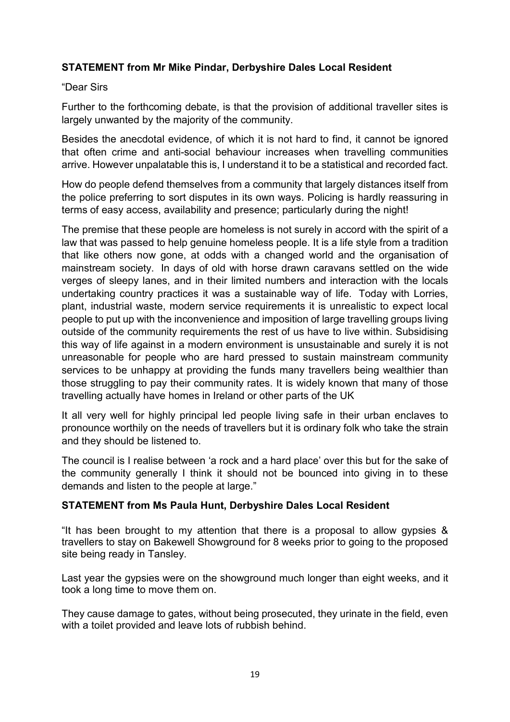### **STATEMENT from Mr Mike Pindar, Derbyshire Dales Local Resident**

#### "Dear Sirs

Further to the forthcoming debate, is that the provision of additional traveller sites is largely unwanted by the majority of the community.

Besides the anecdotal evidence, of which it is not hard to find, it cannot be ignored that often crime and anti-social behaviour increases when travelling communities arrive. However unpalatable this is, I understand it to be a statistical and recorded fact.

How do people defend themselves from a community that largely distances itself from the police preferring to sort disputes in its own ways. Policing is hardly reassuring in terms of easy access, availability and presence; particularly during the night!

The premise that these people are homeless is not surely in accord with the spirit of a law that was passed to help genuine homeless people. It is a life style from a tradition that like others now gone, at odds with a changed world and the organisation of mainstream society. In days of old with horse drawn caravans settled on the wide verges of sleepy lanes, and in their limited numbers and interaction with the locals undertaking country practices it was a sustainable way of life. Today with Lorries, plant, industrial waste, modern service requirements it is unrealistic to expect local people to put up with the inconvenience and imposition of large travelling groups living outside of the community requirements the rest of us have to live within. Subsidising this way of life against in a modern environment is unsustainable and surely it is not unreasonable for people who are hard pressed to sustain mainstream community services to be unhappy at providing the funds many travellers being wealthier than those struggling to pay their community rates. It is widely known that many of those travelling actually have homes in Ireland or other parts of the UK

It all very well for highly principal led people living safe in their urban enclaves to pronounce worthily on the needs of travellers but it is ordinary folk who take the strain and they should be listened to.

The council is I realise between 'a rock and a hard place' over this but for the sake of the community generally I think it should not be bounced into giving in to these demands and listen to the people at large."

### **STATEMENT from Ms Paula Hunt, Derbyshire Dales Local Resident**

"It has been brought to my attention that there is a proposal to allow gypsies & travellers to stay on Bakewell Showground for 8 weeks prior to going to the proposed site being ready in Tansley.

Last year the gypsies were on the showground much longer than eight weeks, and it took a long time to move them on.

They cause damage to gates, without being prosecuted, they urinate in the field, even with a toilet provided and leave lots of rubbish behind.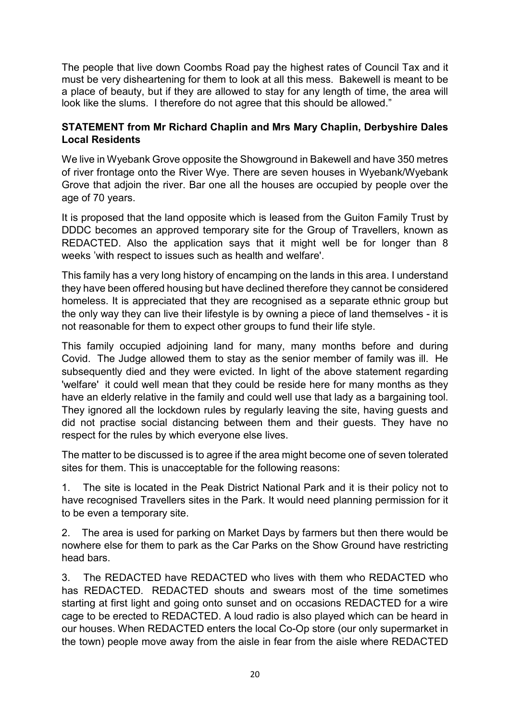The people that live down Coombs Road pay the highest rates of Council Tax and it must be very disheartening for them to look at all this mess. Bakewell is meant to be a place of beauty, but if they are allowed to stay for any length of time, the area will look like the slums. I therefore do not agree that this should be allowed."

### **STATEMENT from Mr Richard Chaplin and Mrs Mary Chaplin, Derbyshire Dales Local Residents**

We live in Wyebank Grove opposite the Showground in Bakewell and have 350 metres of river frontage onto the River Wye. There are seven houses in Wyebank/Wyebank Grove that adjoin the river. Bar one all the houses are occupied by people over the age of 70 years.

It is proposed that the land opposite which is leased from the Guiton Family Trust by DDDC becomes an approved temporary site for the Group of Travellers, known as REDACTED. Also the application says that it might well be for longer than 8 weeks 'with respect to issues such as health and welfare'.

This family has a very long history of encamping on the lands in this area. I understand they have been offered housing but have declined therefore they cannot be considered homeless. It is appreciated that they are recognised as a separate ethnic group but the only way they can live their lifestyle is by owning a piece of land themselves - it is not reasonable for them to expect other groups to fund their life style.

This family occupied adjoining land for many, many months before and during Covid. The Judge allowed them to stay as the senior member of family was ill. He subsequently died and they were evicted. In light of the above statement regarding 'welfare' it could well mean that they could be reside here for many months as they have an elderly relative in the family and could well use that lady as a bargaining tool. They ignored all the lockdown rules by regularly leaving the site, having guests and did not practise social distancing between them and their guests. They have no respect for the rules by which everyone else lives.

The matter to be discussed is to agree if the area might become one of seven tolerated sites for them. This is unacceptable for the following reasons:

1. The site is located in the Peak District National Park and it is their policy not to have recognised Travellers sites in the Park. It would need planning permission for it to be even a temporary site.

2. The area is used for parking on Market Days by farmers but then there would be nowhere else for them to park as the Car Parks on the Show Ground have restricting head bars.

3. The REDACTED have REDACTED who lives with them who REDACTED who has REDACTED. REDACTED shouts and swears most of the time sometimes starting at first light and going onto sunset and on occasions REDACTED for a wire cage to be erected to REDACTED. A loud radio is also played which can be heard in our houses. When REDACTED enters the local Co-Op store (our only supermarket in the town) people move away from the aisle in fear from the aisle where REDACTED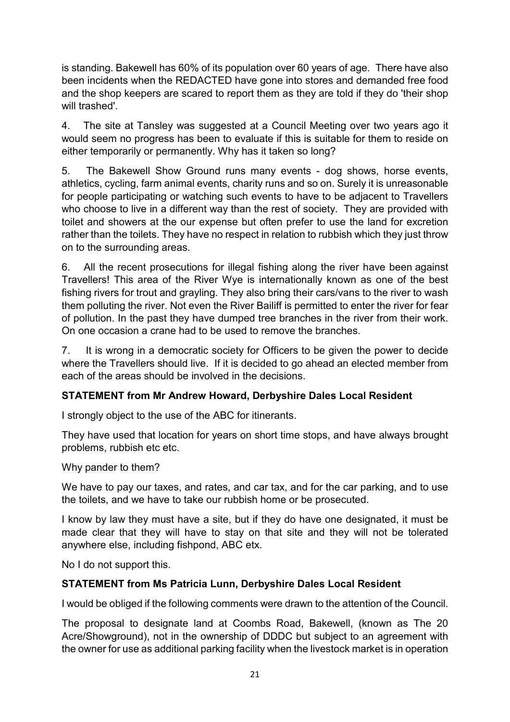is standing. Bakewell has 60% of its population over 60 years of age. There have also been incidents when the REDACTED have gone into stores and demanded free food and the shop keepers are scared to report them as they are told if they do 'their shop will trashed'.

4. The site at Tansley was suggested at a Council Meeting over two years ago it would seem no progress has been to evaluate if this is suitable for them to reside on either temporarily or permanently. Why has it taken so long?

5. The Bakewell Show Ground runs many events - dog shows, horse events, athletics, cycling, farm animal events, charity runs and so on. Surely it is unreasonable for people participating or watching such events to have to be adjacent to Travellers who choose to live in a different way than the rest of society. They are provided with toilet and showers at the our expense but often prefer to use the land for excretion rather than the toilets. They have no respect in relation to rubbish which they just throw on to the surrounding areas.

6. All the recent prosecutions for illegal fishing along the river have been against Travellers! This area of the River Wye is internationally known as one of the best fishing rivers for trout and grayling. They also bring their cars/vans to the river to wash them polluting the river. Not even the River Bailiff is permitted to enter the river for fear of pollution. In the past they have dumped tree branches in the river from their work. On one occasion a crane had to be used to remove the branches.

7. It is wrong in a democratic society for Officers to be given the power to decide where the Travellers should live. If it is decided to go ahead an elected member from each of the areas should be involved in the decisions.

# **STATEMENT from Mr Andrew Howard, Derbyshire Dales Local Resident**

I strongly object to the use of the ABC for itinerants.

They have used that location for years on short time stops, and have always brought problems, rubbish etc etc.

Why pander to them?

We have to pay our taxes, and rates, and car tax, and for the car parking, and to use the toilets, and we have to take our rubbish home or be prosecuted.

I know by law they must have a site, but if they do have one designated, it must be made clear that they will have to stay on that site and they will not be tolerated anywhere else, including fishpond, ABC etx.

No I do not support this.

### **STATEMENT from Ms Patricia Lunn, Derbyshire Dales Local Resident**

I would be obliged if the following comments were drawn to the attention of the Council.

The proposal to designate land at Coombs Road, Bakewell, (known as The 20 Acre/Showground), not in the ownership of DDDC but subject to an agreement with the owner for use as additional parking facility when the livestock market is in operation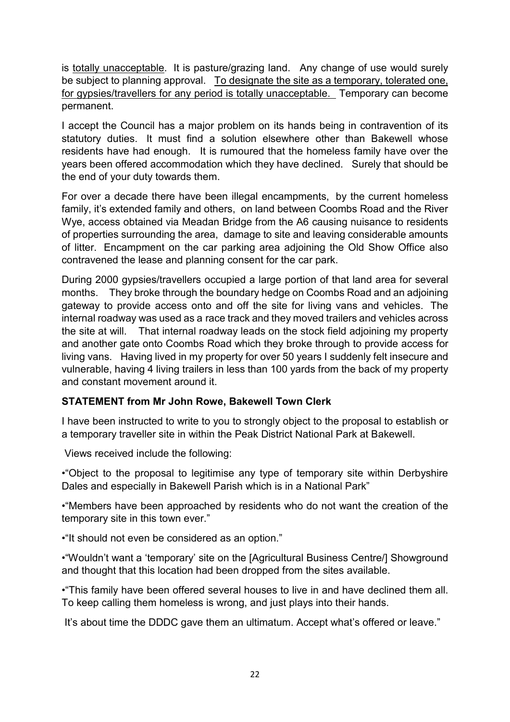is totally unacceptable. It is pasture/grazing land. Any change of use would surely be subject to planning approval. To designate the site as a temporary, tolerated one, for gypsies/travellers for any period is totally unacceptable. Temporary can become permanent.

I accept the Council has a major problem on its hands being in contravention of its statutory duties. It must find a solution elsewhere other than Bakewell whose residents have had enough. It is rumoured that the homeless family have over the years been offered accommodation which they have declined. Surely that should be the end of your duty towards them.

For over a decade there have been illegal encampments, by the current homeless family, it's extended family and others, on land between Coombs Road and the River Wye, access obtained via Meadan Bridge from the A6 causing nuisance to residents of properties surrounding the area, damage to site and leaving considerable amounts of litter. Encampment on the car parking area adjoining the Old Show Office also contravened the lease and planning consent for the car park.

During 2000 gypsies/travellers occupied a large portion of that land area for several months. They broke through the boundary hedge on Coombs Road and an adjoining gateway to provide access onto and off the site for living vans and vehicles. The internal roadway was used as a race track and they moved trailers and vehicles across the site at will. That internal roadway leads on the stock field adjoining my property and another gate onto Coombs Road which they broke through to provide access for living vans. Having lived in my property for over 50 years I suddenly felt insecure and vulnerable, having 4 living trailers in less than 100 yards from the back of my property and constant movement around it.

### **STATEMENT from Mr John Rowe, Bakewell Town Clerk**

I have been instructed to write to you to strongly object to the proposal to establish or a temporary traveller site in within the Peak District National Park at Bakewell.

Views received include the following:

•"Object to the proposal to legitimise any type of temporary site within Derbyshire Dales and especially in Bakewell Parish which is in a National Park"

•"Members have been approached by residents who do not want the creation of the temporary site in this town ever."

•"It should not even be considered as an option."

•"Wouldn't want a 'temporary' site on the [Agricultural Business Centre/] Showground and thought that this location had been dropped from the sites available.

•"This family have been offered several houses to live in and have declined them all. To keep calling them homeless is wrong, and just plays into their hands.

It's about time the DDDC gave them an ultimatum. Accept what's offered or leave."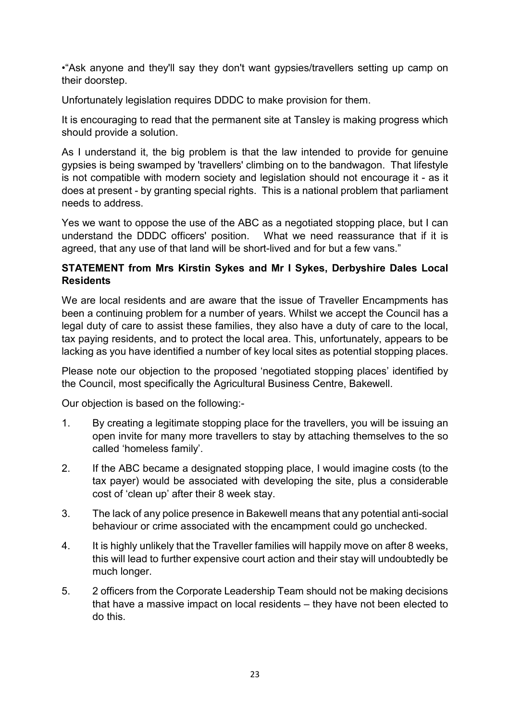•"Ask anyone and they'll say they don't want gypsies/travellers setting up camp on their doorstep.

Unfortunately legislation requires DDDC to make provision for them.

It is encouraging to read that the permanent site at Tansley is making progress which should provide a solution.

As I understand it, the big problem is that the law intended to provide for genuine gypsies is being swamped by 'travellers' climbing on to the bandwagon. That lifestyle is not compatible with modern society and legislation should not encourage it - as it does at present - by granting special rights. This is a national problem that parliament needs to address.

Yes we want to oppose the use of the ABC as a negotiated stopping place, but I can understand the DDDC officers' position. What we need reassurance that if it is agreed, that any use of that land will be short-lived and for but a few vans."

### **STATEMENT from Mrs Kirstin Sykes and Mr I Sykes, Derbyshire Dales Local Residents**

We are local residents and are aware that the issue of Traveller Encampments has been a continuing problem for a number of years. Whilst we accept the Council has a legal duty of care to assist these families, they also have a duty of care to the local, tax paying residents, and to protect the local area. This, unfortunately, appears to be lacking as you have identified a number of key local sites as potential stopping places.

Please note our objection to the proposed 'negotiated stopping places' identified by the Council, most specifically the Agricultural Business Centre, Bakewell.

Our objection is based on the following:-

- 1. By creating a legitimate stopping place for the travellers, you will be issuing an open invite for many more travellers to stay by attaching themselves to the so called 'homeless family'.
- 2. If the ABC became a designated stopping place, I would imagine costs (to the tax payer) would be associated with developing the site, plus a considerable cost of 'clean up' after their 8 week stay.
- 3. The lack of any police presence in Bakewell means that any potential anti-social behaviour or crime associated with the encampment could go unchecked.
- 4. It is highly unlikely that the Traveller families will happily move on after 8 weeks, this will lead to further expensive court action and their stay will undoubtedly be much longer.
- 5. 2 officers from the Corporate Leadership Team should not be making decisions that have a massive impact on local residents – they have not been elected to do this.